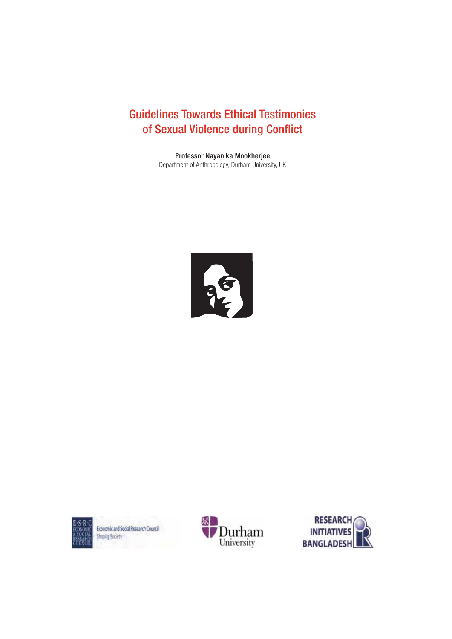# Guidelines Towards Ethical Testimonies of Sexual Violence during Conflict

Professor Nayanika Mookherjee Department of Anthropology, Durham University, UK







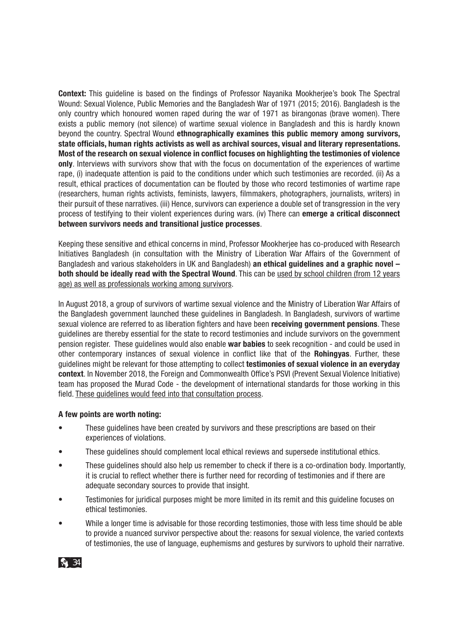**Context:** This guideline is based on the findings of Professor Nayanika Mookherjee's book The Spectral Wound: Sexual Violence, Public Memories and the Bangladesh War of 1971 (2015; 2016). Bangladesh is the only country which honoured women raped during the war of 1971 as birangonas (brave women). There exists a public memory (not silence) of wartime sexual violence in Bangladesh and this is hardly known beyond the country. Spectral Wound **ethnographically examines this public memory among survivors, state officials, human rights activists as well as archival sources, visual and literary representations. Most of the research on sexual violence in conflict focuses on highlighting the testimonies of violence only**. Interviews with survivors show that with the focus on documentation of the experiences of wartime rape, (i) inadequate attention is paid to the conditions under which such testimonies are recorded. (ii) As a result, ethical practices of documentation can be flouted by those who record testimonies of wartime rape (researchers, human rights activists, feminists, lawyers, filmmakers, photographers, journalists, writers) in their pursuit of these narratives, (iii) Hence, survivors can experience a double set of transgression in the very process of testifying to their violent experiences during wars. (iv) There can **emerge a critical disconnect between survivors needs and transitional justice processes**.

Keeping these sensitive and ethical concerns in mind, Professor Mookherjee has co-produced with Research Initiatives Bangladesh (in consultation with the Ministry of Liberation War Affairs of the Government of Bangladesh and various stakeholders in UK and Bangladesh) **an ethical guidelines and a graphic novel – both should be ideally read with the Spectral Wound**. This can be used by school children (from 12 years age) as well as professionals working among survivors.

In August 2018, a group of survivors of wartime sexual violence and the Ministry of Liberation War Affairs of the Bangladesh government launched these guidelines in Bangladesh. In Bangladesh, survivors of wartime sexual violence are referred to as liberation fighters and have been **receiving government pensions**. These guidelines are thereby essential for the state to record testimonies and include survivors on the government pension register. These guidelines would also enable **war babies** to seek recognition - and could be used in other contemporary instances of sexual violence in conflict like that of the **Rohingyas**. Further, these guidelines might be relevant for those attempting to collect **testimonies of sexual violence in an everyday**  context. In November 2018, the Foreign and Commonwealth Office's PSVI (Prevent Sexual Violence Initiative) team has proposed the Murad Code - the development of international standards for those working in this field. These guidelines would feed into that consultation process.

#### **A few points are worth noting:**

- These quidelines have been created by survivors and these prescriptions are based on their experiences of violations.
- These quidelines should complement local ethical reviews and supersede institutional ethics.
- These guidelines should also help us remember to check if there is a co-ordination body. Importantly, it is crucial to reflect whether there is further need for recording of testimonies and if there are adequate secondary sources to provide that insight.
- Testimonies for juridical purposes might be more limited in its remit and this guideline focuses on ethical testimonies.
- While a longer time is advisable for those recording testimonies, those with less time should be able to provide a nuanced survivor perspective about the: reasons for sexual violence, the varied contexts of testimonies, the use of language, euphemisms and gestures by survivors to uphold their narrative.

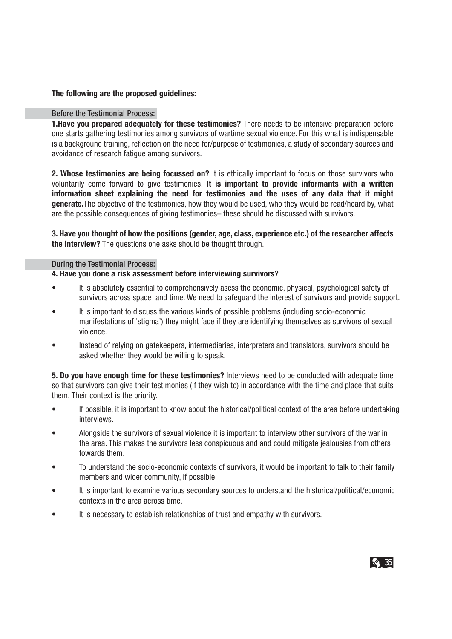### **The following are the proposed guidelines:**

### Before the Testimonial Process:

**1.Have you prepared adequately for these testimonies?** There needs to be intensive preparation before one starts gathering testimonies among survivors of wartime sexual violence. For this what is indispensable is a background training, reflection on the need for/purpose of testimonies, a study of secondary sources and avoidance of research fatigue among survivors.

**2. Whose testimonies are being focussed on?** It is ethically important to focus on those survivors who voluntarily come forward to give testimonies. **It is important to provide informants with a written information sheet explaining the need for testimonies and the uses of any data that it might generate.**The objective of the testimonies, how they would be used, who they would be read/heard by, what are the possible consequences of giving testimonies– these should be discussed with survivors.

**3. Have you thought of how the positions (gender, age, class, experience etc.) of the researcher affects the interview?** The questions one asks should be thought through.

#### During the Testimonial Process:

#### **4. Have you done a risk assessment before interviewing survivors?**

- It is absolutely essential to comprehensively asess the economic, physical, psychological safety of survivors across space and time. We need to safeguard the interest of survivors and provide support.
- It is important to discuss the various kinds of possible problems (including socio-economic manifestations of 'stigma') they might face if they are identifying themselves as survivors of sexual violence.
- Instead of relying on gatekeepers, intermediaries, interpreters and translators, survivors should be asked whether they would be willing to speak.

5. Do vou have enough time for these testimonies? Interviews need to be conducted with adequate time so that survivors can give their testimonies (if they wish to) in accordance with the time and place that suits them. Their context is the priority.

- If possible, it is important to know about the historical/political context of the area before undertaking interviews.
- s Alongside the survivors of sexual violence it is important to interview other survivors of the war in the area. This makes the survivors less conspicuous and and could mitigate jealousies from others towards them.
- To understand the socio-economic contexts of survivors, it would be important to talk to their family members and wider community, if possible.
- It is important to examine various secondary sources to understand the historical/political/economic contexts in the area across time.
- It is necessary to establish relationships of trust and empathy with survivors.

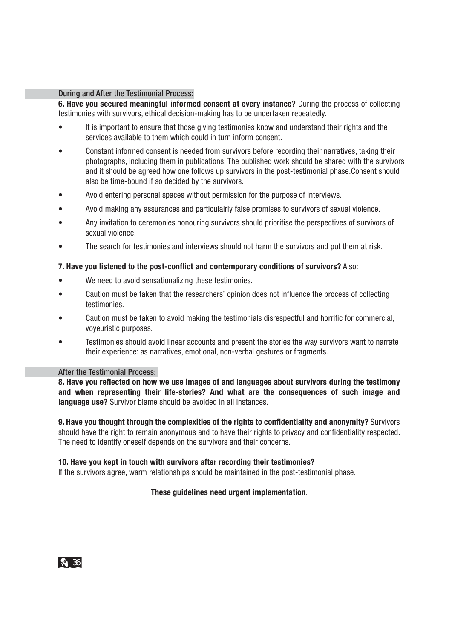#### During and After the Testimonial Process:

**6. Have you secured meaningful informed consent at every instance?** During the process of collecting testimonies with survivors, ethical decision-making has to be undertaken repeatedly.

- It is important to ensure that those giving testimonies know and understand their rights and the services available to them which could in turn inform consent.
- Constant informed consent is needed from survivors before recording their narratives, taking their photographs, including them in publications. The published work should be shared with the survivors and it should be agreed how one follows up survivors in the post-testimonial phase. Consent should also be time-bound if so decided by the survivors.
- Avoid entering personal spaces without permission for the purpose of interviews.
- s Avoid making any assurances and particulalrly false promises to survivors of sexual violence.
- s Any invitation to ceremonies honouring survivors should prioritise the perspectives of survivors of sexual violence.
- The search for testimonies and interviews should not harm the survivors and put them at risk.

#### **7. Have you listened to the post-conflict and contemporary conditions of survivors?** Also:

- We need to avoid sensationalizing these testimonies.
- Caution must be taken that the researchers' opinion does not influence the process of collecting testimonies.
- Caution must be taken to avoid making the testimonials disrespectful and horrific for commercial, voyeuristic purposes.
- Testimonies should avoid linear accounts and present the stories the way survivors want to narrate their experience: as narratives, emotional, non-verbal gestures or fragments.

#### After the Testimonial Process:

**8. Have you reflected on how we use images of and languages about survivors during the testimony and when representing their life-stories? And what are the consequences of such image and language use?** Survivor blame should be avoided in all instances.

**9. Have you thought through the complexities of the rights to confidentiality and anonymity?** Survivors should have the right to remain anonymous and to have their rights to privacy and confidentiality respected. The need to identify oneself depends on the survivors and their concerns.

#### **10. Have you kept in touch with survivors after recording their testimonies?**

If the survivors agree, warm relationships should be maintained in the post-testimonial phase.

#### **These guidelines need urgent implementation**.

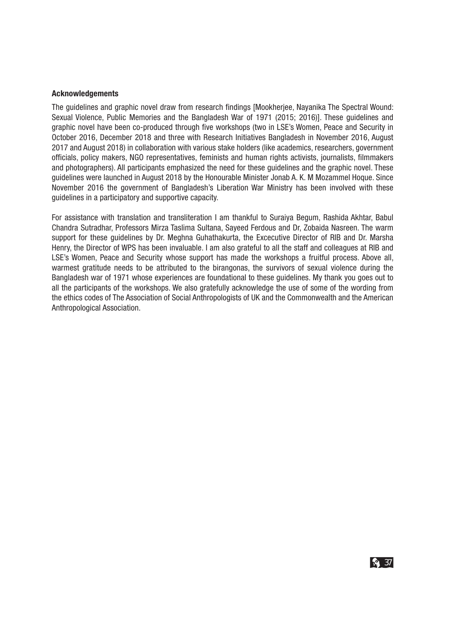#### **Acknowledgements**

The guidelines and graphic novel draw from research findings [Mookherjee, Nayanika The Spectral Wound: Sexual Violence, Public Memories and the Bangladesh War of 1971 (2015; 2016)]. These guidelines and graphic novel have been co-produced through five workshops (two in LSE's Women, Peace and Security in October 2016, December 2018 and three with Research Initiatives Bangladesh in November 2016, August 2017 and August 2018) in collaboration with various stake holders (like academics, researchers, government officials, policy makers, NGO representatives, feminists and human rights activists, journalists, filmmakers and photographers). All participants emphasized the need for these guidelines and the graphic novel. These guidelines were launched in August 2018 by the Honourable Minister Jonab A. K. M Mozammel Hoque. Since November 2016 the government of Bangladesh's Liberation War Ministry has been involved with these guidelines in a participatory and supportive capacity.

For assistance with translation and transliteration I am thankful to Suraiya Begum, Rashida Akhtar, Babul Chandra Sutradhar, Professors Mirza Taslima Sultana, Sayeed Ferdous and Dr, Zobaida Nasreen. The warm support for these guidelines by Dr. Meghna Guhathakurta, the Excecutive Director of RIB and Dr. Marsha Henry, the Director of WPS has been invaluable. I am also grateful to all the staff and colleagues at RIB and LSE's Women, Peace and Security whose support has made the workshops a fruitful process. Above all, warmest gratitude needs to be attributed to the birangonas, the survivors of sexual violence during the Bangladesh war of 1971 whose experiences are foundational to these guidelines. My thank you goes out to all the participants of the workshops. We also gratefully acknowledge the use of some of the wording from the ethics codes of The Association of Social Anthropologists of UK and the Commonwealth and the American Anthropological Association.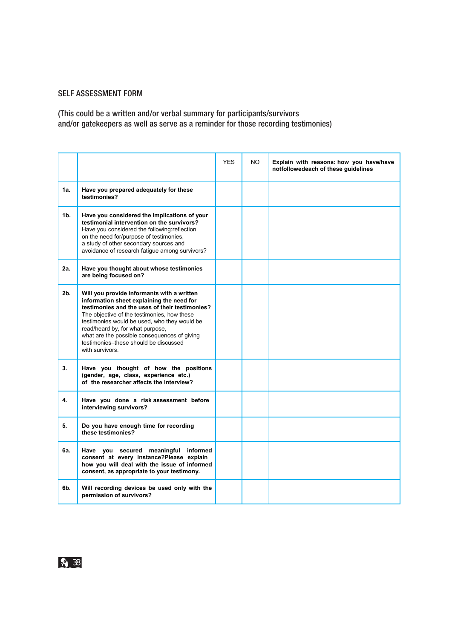## SELF ASSESSMENT FORM

(This could be a written and/or verbal summary for participants/survivors and/or gatekeepers as well as serve as a reminder for those recording testimonies)

|                |                                                                                                                                                                                                                                                                                                                                                                                          | <b>YES</b> | NO. | Explain with reasons: how you have/have<br>notfollowedeach of these guidelines |
|----------------|------------------------------------------------------------------------------------------------------------------------------------------------------------------------------------------------------------------------------------------------------------------------------------------------------------------------------------------------------------------------------------------|------------|-----|--------------------------------------------------------------------------------|
| 1a.            | Have you prepared adequately for these<br>testimonies?                                                                                                                                                                                                                                                                                                                                   |            |     |                                                                                |
| 1 <b>b</b> .   | Have you considered the implications of your<br>testimonial intervention on the survivors?<br>Have you considered the following: reflection<br>on the need for/purpose of testimonies,<br>a study of other secondary sources and<br>avoidance of research fatigue among survivors?                                                                                                       |            |     |                                                                                |
| 2a.            | Have you thought about whose testimonies<br>are being focused on?                                                                                                                                                                                                                                                                                                                        |            |     |                                                                                |
| 2 <sub>b</sub> | Will you provide informants with a written<br>information sheet explaining the need for<br>testimonies and the uses of their testimonies?<br>The objective of the testimonies, how these<br>testimonies would be used, who they would be<br>read/heard by, for what purpose,<br>what are the possible consequences of giving<br>testimonies-these should be discussed<br>with survivors. |            |     |                                                                                |
| 3.             | Have you thought of how the positions<br>(gender, age, class, experience etc.)<br>of the researcher affects the interview?                                                                                                                                                                                                                                                               |            |     |                                                                                |
| 4.             | Have you done a risk assessment before<br>interviewing survivors?                                                                                                                                                                                                                                                                                                                        |            |     |                                                                                |
| 5.             | Do you have enough time for recording<br>these testimonies?                                                                                                                                                                                                                                                                                                                              |            |     |                                                                                |
| 6а.            | Have you secured meaningful informed<br>consent at every instance?Please explain<br>how you will deal with the issue of informed<br>consent, as appropriate to your testimony.                                                                                                                                                                                                           |            |     |                                                                                |
| 6b.            | Will recording devices be used only with the<br>permission of survivors?                                                                                                                                                                                                                                                                                                                 |            |     |                                                                                |